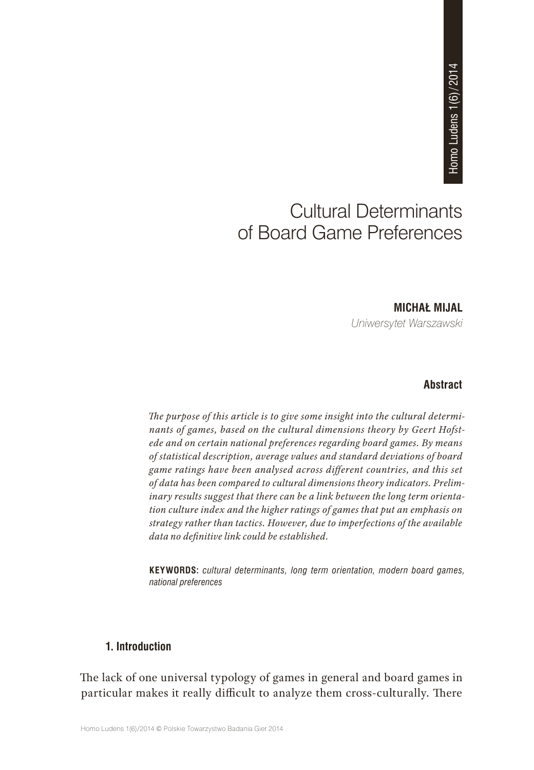# Cultural Determinants of Board Game Preferences **MICHAŁ MIJAL<br>
MICHAŁ MIJAL<br>
MICHAŁ MIJAL<br>
MICHAŁ MIJAL**

*Uniwersytet Warszawski*

# **Abstract**

*The purpose of this article is to give some insight into the cultural determinants of games, based on the cultural dimensions theory by Geert Hofstede and on certain national preferences regarding board games. By means of statistical description, average values and standard deviations of board game ratings have been analysed across different countries, and this set of data has been compared to cultural dimensions theory indicators. Preliminary results suggest that there can be a link between the long term orientation culture index and the higher ratings of games that put an emphasis on strategy rather than tactics. However, due to imperfections of the available data no definitive link could be established.*

**KEYWORDS:** *cultural determinants, long term orientation, modern board games, national preferences*

# **1. Introduction**

The lack of one universal typology of games in general and board games in particular makes it really difficult to analyze them cross-culturally. There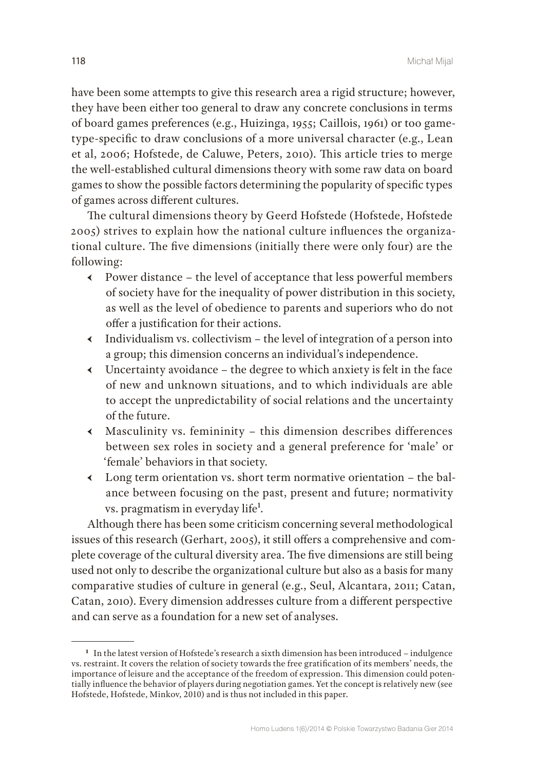have been some attempts to give this research area a rigid structure; however, they have been either too general to draw any concrete conclusions in terms of board games preferences (e.g., Huizinga, 1955; Caillois, 1961) or too gametype-specific to draw conclusions of a more universal character (e.g., Lean et al, 2006; Hofstede, de Caluwe, Peters, 2010). This article tries to merge the well-established cultural dimensions theory with some raw data on board games to show the possible factors determining the popularity of specific types of games across different cultures.

The cultural dimensions theory by Geerd Hofstede (Hofstede, Hofstede 2005) strives to explain how the national culture influences the organizational culture. The five dimensions (initially there were only four) are the following:

- $\leftarrow$  Power distance the level of acceptance that less powerful members of society have for the inequality of power distribution in this society, as well as the level of obedience to parents and superiors who do not offer a justification for their actions.
- $\triangleleft$  Individualism vs. collectivism the level of integration of a person into a group; this dimension concerns an individual's independence.
- $\longleftarrow$  Uncertainty avoidance the degree to which anxiety is felt in the face of new and unknown situations, and to which individuals are able to accept the unpredictability of social relations and the uncertainty of the future.
- $\longleftarrow$  Masculinity vs. femininity this dimension describes differences between sex roles in society and a general preference for 'male' or 'female' behaviors in that society.
- $\longleftarrow$  Long term orientation vs. short term normative orientation the balance between focusing on the past, present and future; normativity vs. pragmatism in everyday life<sup>1</sup>.

Although there has been some criticism concerning several methodological issues of this research (Gerhart, 2005), it still offers a comprehensive and complete coverage of the cultural diversity area. The five dimensions are still being used not only to describe the organizational culture but also as a basis for many comparative studies of culture in general (e.g., Seul, Alcantara, 2011; Catan, Catan, 2010). Every dimension addresses culture from a different perspective and can serve as a foundation for a new set of analyses.

**<sup>1</sup>** In the latest version of Hofstede's research a sixth dimension has been introduced – indulgence vs. restraint. It covers the relation of society towards the free gratification of its members' needs, the importance of leisure and the acceptance of the freedom of expression. This dimension could potentially influence the behavior of players during negotiation games. Yet the concept is relatively new (see Hofstede, Hofstede, Minkov, 2010) and is thus not included in this paper.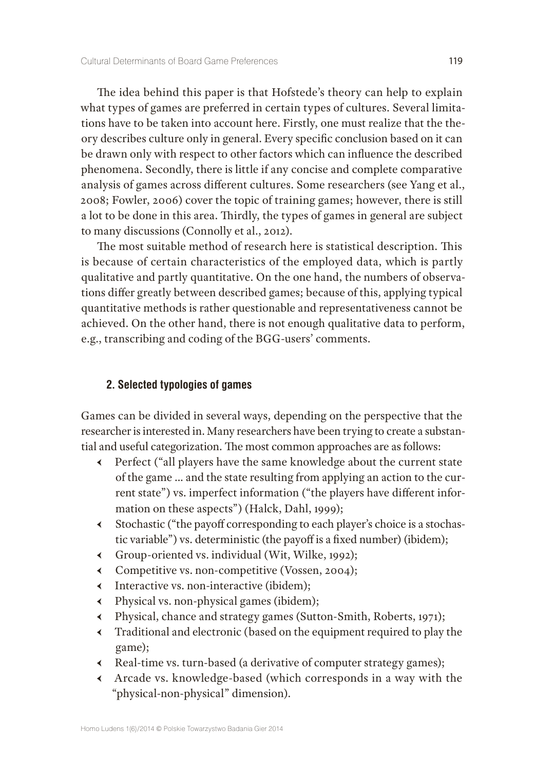The idea behind this paper is that Hofstede's theory can help to explain what types of games are preferred in certain types of cultures. Several limitations have to be taken into account here. Firstly, one must realize that the theory describes culture only in general. Every specific conclusion based on it can be drawn only with respect to other factors which can influence the described phenomena. Secondly, there is little if any concise and complete comparative analysis of games across different cultures. Some researchers (see Yang et al., 2008; Fowler, 2006) cover the topic of training games; however, there is still a lot to be done in this area. Thirdly, the types of games in general are subject to many discussions (Connolly et al., 2012).

The most suitable method of research here is statistical description. This is because of certain characteristics of the employed data, which is partly qualitative and partly quantitative. On the one hand, the numbers of observations differ greatly between described games; because of this, applying typical quantitative methods is rather questionable and representativeness cannot be achieved. On the other hand, there is not enough qualitative data to perform, e.g., transcribing and coding of the BGG-users' comments.

## **2. Selected typologies of games**

Games can be divided in several ways, depending on the perspective that the researcher is interested in. Many researchers have been trying to create a substantial and useful categorization. The most common approaches are as follows:

- Ԁ Perfect ("all players have the same knowledge about the current state of the game … and the state resulting from applying an action to the current state") vs. imperfect information ("the players have different information on these aspects") (Halck, Dahl, 1999);
- Ԁ Stochastic ("the payoff corresponding to each player's choice is a stochastic variable") vs. deterministic (the payoff is a fixed number) (ibidem);
- Ԁ Group-oriented vs. individual (Wit, Wilke, 1992);
- Ԁ Competitive vs. non-competitive (Vossen, 2004);
- Ԁ Interactive vs. non-interactive (ibidem);
- Ԁ Physical vs. non-physical games (ibidem);
- Ԁ Physical, chance and strategy games (Sutton-Smith, Roberts, 1971);
- Ԁ Traditional and electronic (based on the equipment required to play the game);
- Ԁ Real-time vs. turn-based (a derivative of computer strategy games);
- Ԁ Arcade vs. knowledge-based (which corresponds in a way with the "physical-non-physical" dimension).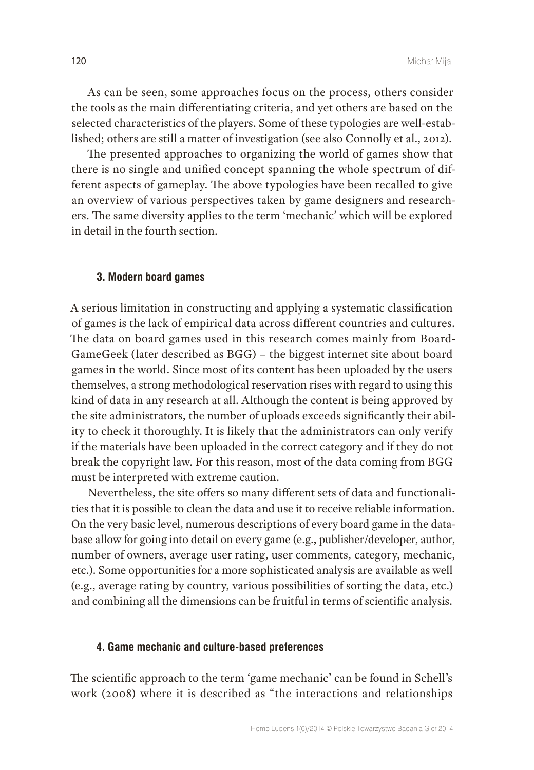As can be seen, some approaches focus on the process, others consider the tools as the main differentiating criteria, and yet others are based on the selected characteristics of the players. Some of these typologies are well-established; others are still a matter of investigation (see also Connolly et al., 2012).

The presented approaches to organizing the world of games show that there is no single and unified concept spanning the whole spectrum of different aspects of gameplay. The above typologies have been recalled to give an overview of various perspectives taken by game designers and researchers. The same diversity applies to the term 'mechanic' which will be explored in detail in the fourth section.

#### **3. Modern board games**

A serious limitation in constructing and applying a systematic classification of games is the lack of empirical data across different countries and cultures. The data on board games used in this research comes mainly from Board-GameGeek (later described as BGG) – the biggest internet site about board games in the world. Since most of its content has been uploaded by the users themselves, a strong methodological reservation rises with regard to using this kind of data in any research at all. Although the content is being approved by the site administrators, the number of uploads exceeds significantly their ability to check it thoroughly. It is likely that the administrators can only verify if the materials have been uploaded in the correct category and if they do not break the copyright law. For this reason, most of the data coming from BGG must be interpreted with extreme caution.

Nevertheless, the site offers so many different sets of data and functionalities that it is possible to clean the data and use it to receive reliable information. On the very basic level, numerous descriptions of every board game in the database allow for going into detail on every game (e.g., publisher/developer, author, number of owners, average user rating, user comments, category, mechanic, etc.). Some opportunities for a more sophisticated analysis are available as well (e.g., average rating by country, various possibilities of sorting the data, etc.) and combining all the dimensions can be fruitful in terms of scientific analysis.

#### **4. Game mechanic and culture-based preferences**

The scientific approach to the term 'game mechanic' can be found in Schell's work (2008) where it is described as "the interactions and relationships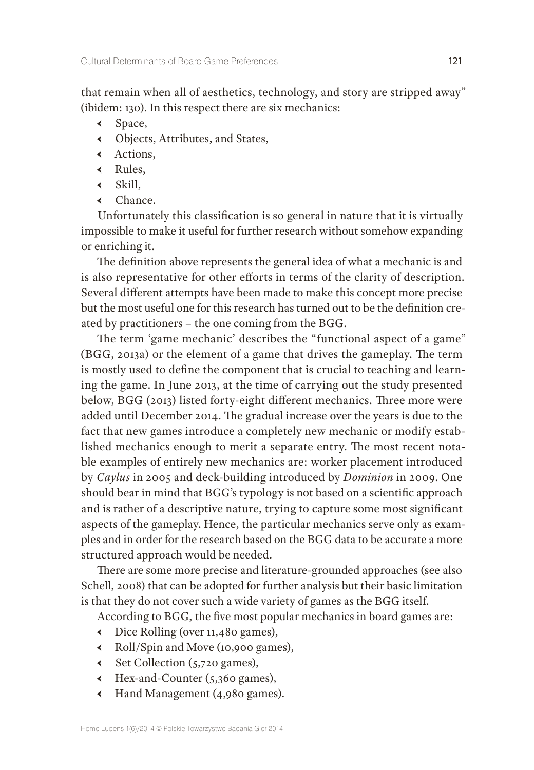that remain when all of aesthetics, technology, and story are stripped away" (ibidem: 130). In this respect there are six mechanics:

- Ԁ Space,
- Ԁ Objects, Attributes, and States,
- Ԁ Actions,
- Ԁ Rules,
- $\triangleleft$  Skill,
- Ԁ Chance.

Unfortunately this classification is so general in nature that it is virtually impossible to make it useful for further research without somehow expanding or enriching it.

The definition above represents the general idea of what a mechanic is and is also representative for other efforts in terms of the clarity of description. Several different attempts have been made to make this concept more precise but the most useful one for this research has turned out to be the definition created by practitioners – the one coming from the BGG.

The term 'game mechanic' describes the "functional aspect of a game" (BGG, 2013a) or the element of a game that drives the gameplay. The term is mostly used to define the component that is crucial to teaching and learning the game. In June 2013, at the time of carrying out the study presented below, BGG (2013) listed forty-eight different mechanics. Three more were added until December 2014. The gradual increase over the years is due to the fact that new games introduce a completely new mechanic or modify established mechanics enough to merit a separate entry. The most recent notable examples of entirely new mechanics are: worker placement introduced by *Caylus* in 2005 and deck-building introduced by *Dominion* in 2009. One should bear in mind that BGG's typology is not based on a scientific approach and is rather of a descriptive nature, trying to capture some most significant aspects of the gameplay. Hence, the particular mechanics serve only as examples and in order for the research based on the BGG data to be accurate a more structured approach would be needed.

There are some more precise and literature-grounded approaches (see also Schell, 2008) that can be adopted for further analysis but their basic limitation is that they do not cover such a wide variety of games as the BGG itself.

According to BGG, the five most popular mechanics in board games are:

- Ԁ Dice Rolling (over 11,480 games),
- Ԁ Roll/Spin and Move (10,900 games),
- Ԁ Set Collection (5,720 games),
- Ԁ Hex-and-Counter (5,360 games),
- Ԁ Hand Management (4,980 games).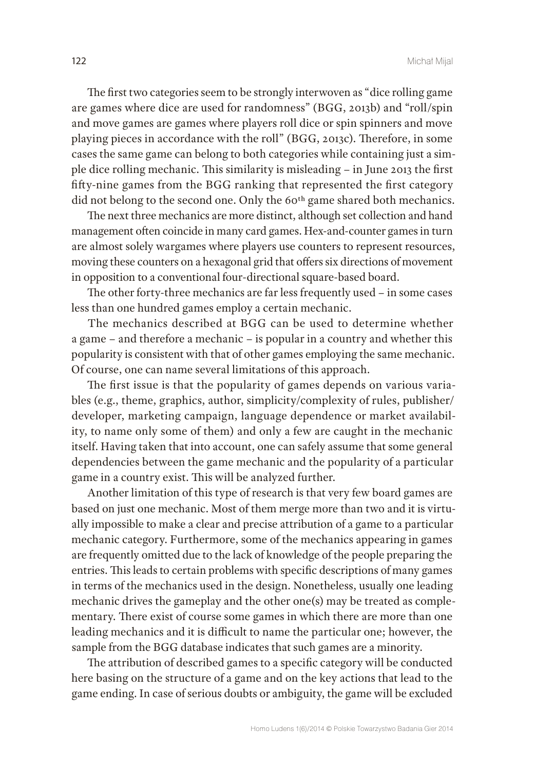The first two categories seem to be strongly interwoven as "dice rolling game are games where dice are used for randomness" (BGG, 2013b) and "roll/spin and move games are games where players roll dice or spin spinners and move playing pieces in accordance with the roll" (BGG, 2013c). Therefore, in some cases the same game can belong to both categories while containing just a simple dice rolling mechanic. This similarity is misleading – in June 2013 the first fifty-nine games from the BGG ranking that represented the first category did not belong to the second one. Only the 60<sup>th</sup> game shared both mechanics.

The next three mechanics are more distinct, although set collection and hand management often coincide in many card games. Hex-and-counter games in turn are almost solely wargames where players use counters to represent resources, moving these counters on a hexagonal grid that offers six directions of movement in opposition to a conventional four-directional square-based board.

The other forty-three mechanics are far less frequently used – in some cases less than one hundred games employ a certain mechanic.

The mechanics described at BGG can be used to determine whether a game – and therefore a mechanic – is popular in a country and whether this popularity is consistent with that of other games employing the same mechanic. Of course, one can name several limitations of this approach.

The first issue is that the popularity of games depends on various variables (e.g., theme, graphics, author, simplicity/complexity of rules, publisher/ developer, marketing campaign, language dependence or market availability, to name only some of them) and only a few are caught in the mechanic itself. Having taken that into account, one can safely assume that some general dependencies between the game mechanic and the popularity of a particular game in a country exist. This will be analyzed further.

Another limitation of this type of research is that very few board games are based on just one mechanic. Most of them merge more than two and it is virtually impossible to make a clear and precise attribution of a game to a particular mechanic category. Furthermore, some of the mechanics appearing in games are frequently omitted due to the lack of knowledge of the people preparing the entries. This leads to certain problems with specific descriptions of many games in terms of the mechanics used in the design. Nonetheless, usually one leading mechanic drives the gameplay and the other one(s) may be treated as complementary. There exist of course some games in which there are more than one leading mechanics and it is difficult to name the particular one; however, the sample from the BGG database indicates that such games are a minority.

The attribution of described games to a specific category will be conducted here basing on the structure of a game and on the key actions that lead to the game ending. In case of serious doubts or ambiguity, the game will be excluded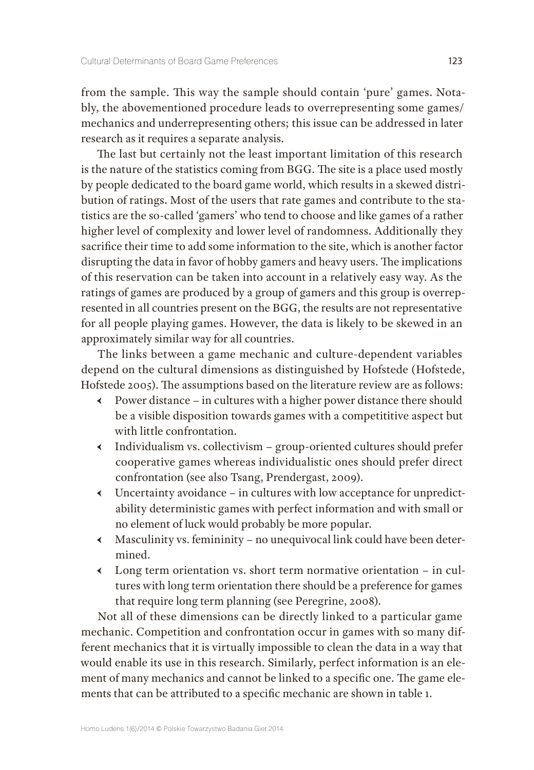from the sample. This way the sample should contain 'pure' games. Notably, the abovementioned procedure leads to overrepresenting some games/ mechanics and underrepresenting others; this issue can be addressed in later research as it requires a separate analysis.

The last but certainly not the least important limitation of this research is the nature of the statistics coming from BGG. The site is a place used mostly by people dedicated to the board game world, which results in a skewed distribution of ratings. Most of the users that rate games and contribute to the statistics are the so-called 'gamers' who tend to choose and like games of a rather higher level of complexity and lower level of randomness. Additionally they sacrifice their time to add some information to the site, which is another factor disrupting the data in favor of hobby gamers and heavy users. The implications of this reservation can be taken into account in a relatively easy way. As the ratings of games are produced by a group of gamers and this group is overrepresented in all countries present on the BGG, the results are not representative for all people playing games. However, the data is likely to be skewed in an approximately similar way for all countries.

The links between a game mechanic and culture-dependent variables depend on the cultural dimensions as distinguished by Hofstede (Hofstede, Hofstede 2005). The assumptions based on the literature review are as follows:

- Ԁ Power distance in cultures with a higher power distance there should be a visible disposition towards games with a competititive aspect but with little confrontation.
- Ԁ Individualism vs. collectivism group-oriented cultures should prefer cooperative games whereas individualistic ones should prefer direct confrontation (see also Tsang, Prendergast, 2009).
- Ԁ Uncertainty avoidance in cultures with low acceptance for unpredictability deterministic games with perfect information and with small or no element of luck would probably be more popular.
- Ԁ Masculinity vs. femininity no unequivocal link could have been determined.
- $\triangleleft$  Long term orientation vs. short term normative orientation in cultures with long term orientation there should be a preference for games that require long term planning (see Peregrine, 2008).

Not all of these dimensions can be directly linked to a particular game mechanic. Competition and confrontation occur in games with so many different mechanics that it is virtually impossible to clean the data in a way that would enable its use in this research. Similarly, perfect information is an element of many mechanics and cannot be linked to a specific one. The game elements that can be attributed to a specific mechanic are shown in table 1.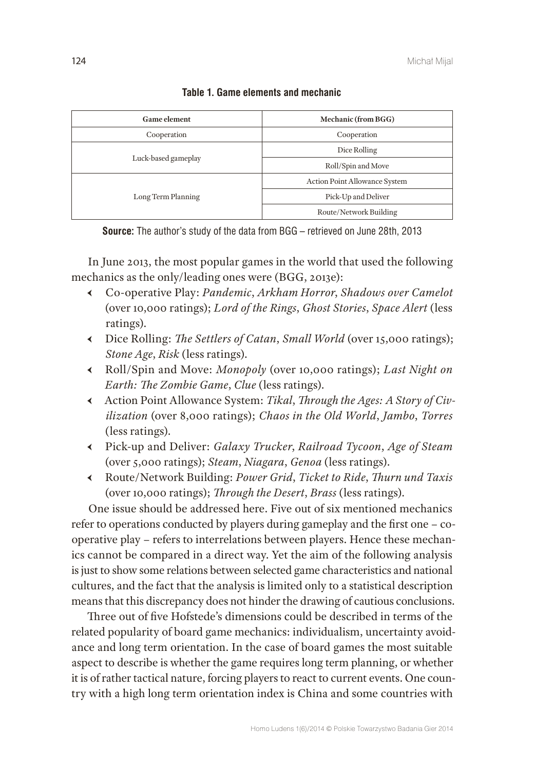| <b>Game element</b> | Mechanic (from BGG)                  |  |  |
|---------------------|--------------------------------------|--|--|
| Cooperation         | Cooperation                          |  |  |
| Luck-based gameplay | Dice Rolling                         |  |  |
|                     | Roll/Spin and Move                   |  |  |
| Long Term Planning  | <b>Action Point Allowance System</b> |  |  |
|                     | Pick-Up and Deliver                  |  |  |
|                     | Route/Network Building               |  |  |

## **Table 1. Game elements and mechanic**

**Source:** The author's study of the data from BGG – retrieved on June 28th, 2013

In June 2013, the most popular games in the world that used the following mechanics as the only/leading ones were (BGG, 2013e):

- Ԁ Co-operative Play: *Pandemic*, *Arkham Horror*, *Shadows over Camelot* (over 10,000 ratings); *Lord of the Rings*, *Ghost Stories*, *Space Alert* (less ratings).
- Ԁ Dice Rolling: *The Settlers of Catan*, *Small World* (over 15,000 ratings); *Stone Age*, *Risk* (less ratings).
- Ԁ Roll/Spin and Move: *Monopoly* (over 10,000 ratings); *Last Night on Earth: The Zombie Game*, *Clue* (less ratings).
- Ԁ Action Point Allowance System: *Tikal*, *Through the Ages: A Story of Civilization* (over 8,000 ratings); *Chaos in the Old World*, *Jambo*, *Torres* (less ratings).
- Ԁ Pick-up and Deliver: *Galaxy Trucker*, *Railroad Tycoon*, *Age of Steam* (over 5,000 ratings); *Steam*, *Niagara*, *Genoa* (less ratings).
- Ԁ Route/Network Building: *Power Grid*, *Ticket to Ride*, *Thurn und Taxis* (over 10,000 ratings); *Through the Desert*, *Brass* (less ratings).

One issue should be addressed here. Five out of six mentioned mechanics refer to operations conducted by players during gameplay and the first one – cooperative play – refers to interrelations between players. Hence these mechanics cannot be compared in a direct way. Yet the aim of the following analysis is just to show some relations between selected game characteristics and national cultures, and the fact that the analysis is limited only to a statistical description means that this discrepancy does not hinder the drawing of cautious conclusions.

Three out of five Hofstede's dimensions could be described in terms of the related popularity of board game mechanics: individualism, uncertainty avoidance and long term orientation. In the case of board games the most suitable aspect to describe is whether the game requires long term planning, or whether it is of rather tactical nature, forcing players to react to current events. One country with a high long term orientation index is China and some countries with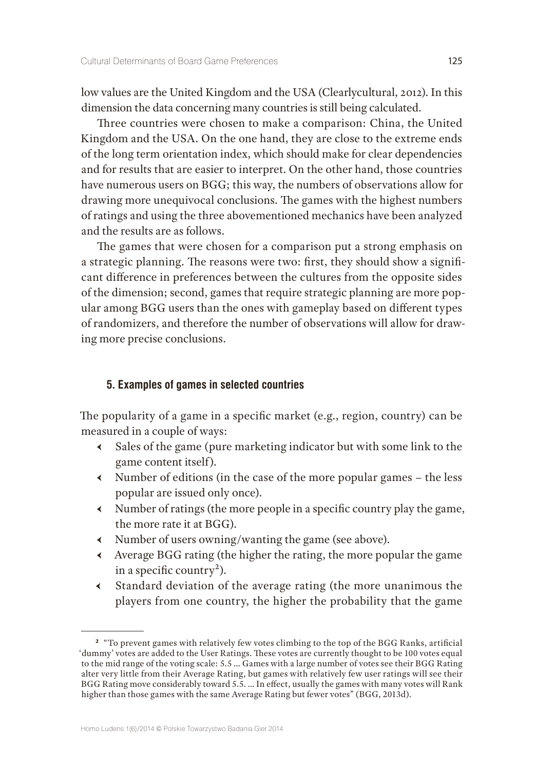low values are the United Kingdom and the USA (Clearlycultural, 2012). In this dimension the data concerning many countries is still being calculated.

Three countries were chosen to make a comparison: China, the United Kingdom and the USA. On the one hand, they are close to the extreme ends of the long term orientation index, which should make for clear dependencies and for results that are easier to interpret. On the other hand, those countries have numerous users on BGG; this way, the numbers of observations allow for drawing more unequivocal conclusions. The games with the highest numbers of ratings and using the three abovementioned mechanics have been analyzed and the results are as follows.

The games that were chosen for a comparison put a strong emphasis on a strategic planning. The reasons were two: first, they should show a significant difference in preferences between the cultures from the opposite sides of the dimension; second, games that require strategic planning are more popular among BGG users than the ones with gameplay based on different types of randomizers, and therefore the number of observations will allow for drawing more precise conclusions.

### **5. Examples of games in selected countries**

The popularity of a game in a specific market (e.g., region, country) can be measured in a couple of ways:

- Ԁ Sales of the game (pure marketing indicator but with some link to the game content itself).
- $\longleftarrow$  Number of editions (in the case of the more popular games the less popular are issued only once).
- Ԁ Number of ratings (the more people in a specific country play the game, the more rate it at BGG).
- Ԁ Number of users owning/wanting the game (see above).
- Ԁ Average BGG rating (the higher the rating, the more popular the game in a specific country<sup>2</sup>).
- Ԁ Standard deviation of the average rating (the more unanimous the players from one country, the higher the probability that the game

**<sup>2</sup>** "To prevent games with relatively few votes climbing to the top of the BGG Ranks, artificial 'dummy' votes are added to the User Ratings. These votes are currently thought to be 100 votes equal to the mid range of the voting scale: 5.5 … Games with a large number of votes see their BGG Rating alter very little from their Average Rating, but games with relatively few user ratings will see their BGG Rating move considerably toward 5.5. … In effect, usually the games with many votes will Rank higher than those games with the same Average Rating but fewer votes" (BGG, 2013d).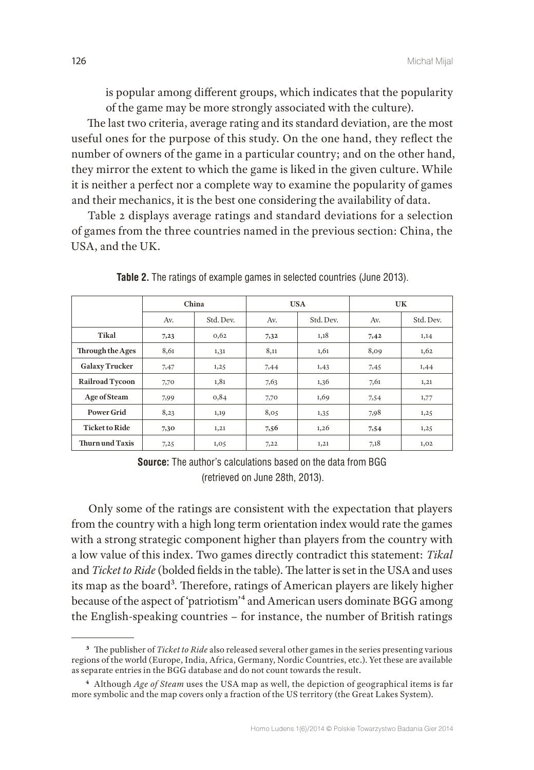is popular among different groups, which indicates that the popularity of the game may be more strongly associated with the culture).

The last two criteria, average rating and its standard deviation, are the most useful ones for the purpose of this study. On the one hand, they reflect the number of owners of the game in a particular country; and on the other hand, they mirror the extent to which the game is liked in the given culture. While it is neither a perfect nor a complete way to examine the popularity of games and their mechanics, it is the best one considering the availability of data.

Table 2 displays average ratings and standard deviations for a selection of games from the three countries named in the previous section: China, the USA, and the UK.

|                        | China |           | <b>USA</b> |           | UK   |           |
|------------------------|-------|-----------|------------|-----------|------|-----------|
|                        | Av.   | Std. Dev. | Av.        | Std. Dev. | Av.  | Std. Dev. |
| Tikal                  | 7,23  | 0,62      | 7,32       | 1,18      | 7,42 | 1,14      |
| Through the Ages       | 8,61  | 1,31      | 8,11       | 1,61      | 8,09 | 1,62      |
| <b>Galaxy Trucker</b>  | 7,47  | 1,25      | 7,44       | 1,43      | 7,45 | 1,44      |
| <b>Railroad Tycoon</b> | 7,70  | 1,81      | 7,63       | 1,36      | 7,61 | 1,21      |
| Age of Steam           | 7,99  | 0,84      | 7,70       | 1,69      | 7,54 | 1,77      |
| <b>Power Grid</b>      | 8,23  | 1,19      | 8,05       | 1,35      | 7,98 | 1,25      |
| <b>Ticket to Ride</b>  | 7,30  | 1,21      | 7,56       | 1,26      | 7,54 | 1,25      |
| <b>Thurn und Taxis</b> | 7,25  | 1,05      | 7,22       | 1,21      | 7,18 | 1,02      |

**Table 2.** The ratings of example games in selected countries (June 2013).

**Source:** The author's calculations based on the data from BGG (retrieved on June 28th, 2013).

Only some of the ratings are consistent with the expectation that players from the country with a high long term orientation index would rate the games with a strong strategic component higher than players from the country with a low value of this index. Two games directly contradict this statement: *Tikal* and *Ticket to Ride* (bolded fields in the table). The latter is set in the USA and uses its map as the board<sup>3</sup>. Therefore, ratings of American players are likely higher because of the aspect of 'patriotism'4 and American users dominate BGG among the English-speaking countries – for instance, the number of British ratings

**<sup>3</sup>** The publisher of *Ticket to Ride* also released several other games in the series presenting various regions of the world (Europe, India, Africa, Germany, Nordic Countries, etc.). Yet these are available as separate entries in the BGG database and do not count towards the result.

**<sup>4</sup>** Although *Age of Steam* uses the USA map as well, the depiction of geographical items is far more symbolic and the map covers only a fraction of the US territory (the Great Lakes System).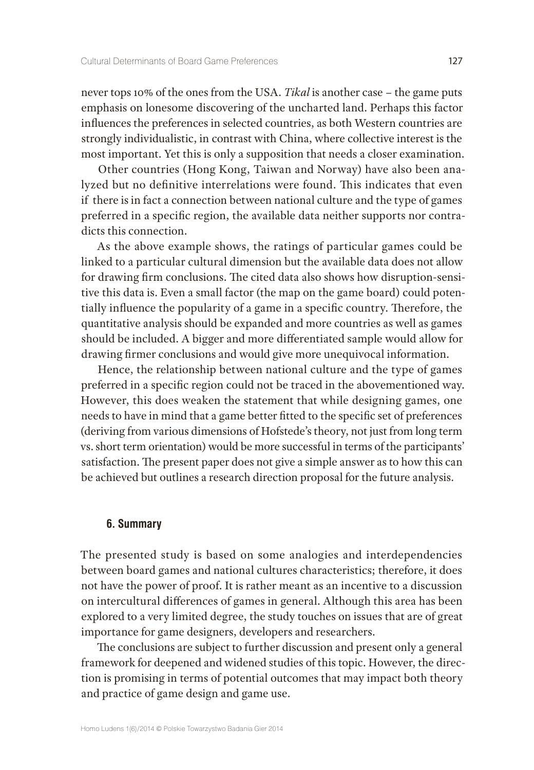never tops 10% of the ones from the USA. *Tikal* is another case – the game puts emphasis on lonesome discovering of the uncharted land. Perhaps this factor influences the preferences in selected countries, as both Western countries are strongly individualistic, in contrast with China, where collective interest is the most important. Yet this is only a supposition that needs a closer examination.

Other countries (Hong Kong, Taiwan and Norway) have also been analyzed but no definitive interrelations were found. This indicates that even if there is in fact a connection between national culture and the type of games preferred in a specific region, the available data neither supports nor contradicts this connection.

As the above example shows, the ratings of particular games could be linked to a particular cultural dimension but the available data does not allow for drawing firm conclusions. The cited data also shows how disruption-sensitive this data is. Even a small factor (the map on the game board) could potentially influence the popularity of a game in a specific country. Therefore, the quantitative analysis should be expanded and more countries as well as games should be included. A bigger and more differentiated sample would allow for drawing firmer conclusions and would give more unequivocal information.

Hence, the relationship between national culture and the type of games preferred in a specific region could not be traced in the abovementioned way. However, this does weaken the statement that while designing games, one needs to have in mind that a game better fitted to the specific set of preferences (deriving from various dimensions of Hofstede's theory, not just from long term vs. short term orientation) would be more successful in terms of the participants' satisfaction. The present paper does not give a simple answer as to how this can be achieved but outlines a research direction proposal for the future analysis.

#### **6. Summary**

The presented study is based on some analogies and interdependencies between board games and national cultures characteristics; therefore, it does not have the power of proof. It is rather meant as an incentive to a discussion on intercultural differences of games in general. Although this area has been explored to a very limited degree, the study touches on issues that are of great importance for game designers, developers and researchers.

The conclusions are subject to further discussion and present only a general framework for deepened and widened studies of this topic. However, the direction is promising in terms of potential outcomes that may impact both theory and practice of game design and game use.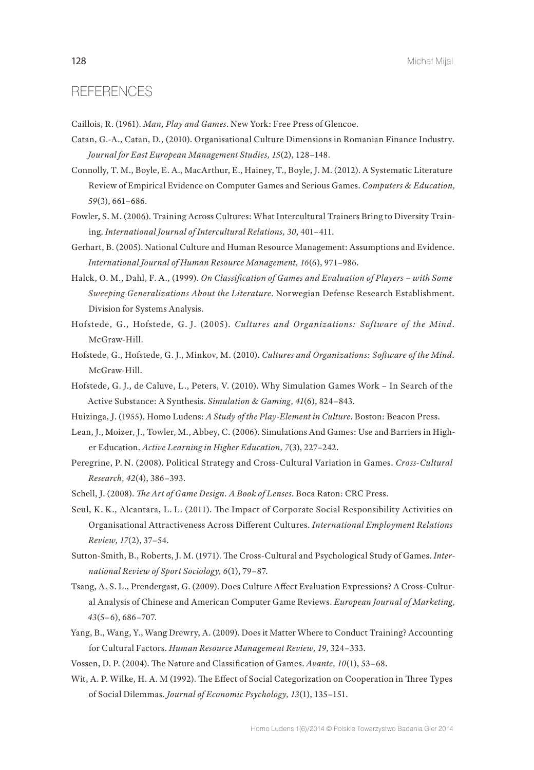# **REFERENCES**

Caillois, R. (1961). *Man, Play and Games*. New York: Free Press of Glencoe.

- Catan, G.-A., Catan, D., (2010). Organisational Culture Dimensions in Romanian Finance Industry. *Journal for East European Management Studies, 15*(2), 128–148.
- Connolly, T. M., Boyle, E. A., MacArthur, E., Hainey, T., Boyle, J. M. (2012). A Systematic Literature Review of Empirical Evidence on Computer Games and Serious Games. *Computers & Education, 59*(3), 661–686.
- Fowler, S. M. (2006). Training Across Cultures: What Intercultural Trainers Bring to Diversity Training. *International Journal of Intercultural Relations, 30*, 401–411.
- Gerhart, B. (2005). National Culture and Human Resource Management: Assumptions and Evidence. *International Journal of Human Resource Management, 16*(6), 971–986.
- Halck, O. M., Dahl, F. A., (1999). *On Classification of Games and Evaluation of Players with Some Sweeping Generalizations About the Literature*. Norwegian Defense Research Establishment. Division for Systems Analysis.
- Hofstede, G., Hofstede, G. J. (2005). *Cultures and Organizations: Software of the Mind*. McGraw-Hill.
- Hofstede, G., Hofstede, G. J., Minkov, M. (2010). *Cultures and Organizations: Software of the Mind*. McGraw-Hill.
- Hofstede, G. J., de Caluve, L., Peters, V. (2010). Why Simulation Games Work In Search of the Active Substance: A Synthesis. *Simulation & Gaming, 41*(6), 824–843.
- Huizinga, J. (1955). Homo Ludens: *A Study of the Play-Element in Culture*. Boston: Beacon Press.
- Lean, J., Moizer, J., Towler, M., Abbey, C. (2006). Simulations And Games: Use and Barriers in Higher Education. *Active Learning in Higher Education, 7*(3), 227–242.
- Peregrine, P. N. (2008). Political Strategy and Cross-Cultural Variation in Games. *Cross-Cultural Research, 42*(4), 386–393.
- Schell, J. (2008). *The Art of Game Design. A Book of Lenses*. Boca Raton: CRC Press.
- Seul, K. K., Alcantara, L. L. (2011). The Impact of Corporate Social Responsibility Activities on Organisational Attractiveness Across Different Cultures. *International Employment Relations Review, 17*(2), 37–54.
- Sutton-Smith, B., Roberts, J. M. (1971). The Cross-Cultural and Psychological Study of Games. *International Review of Sport Sociology, 6*(1), 79–87.
- Tsang, A. S. L., Prendergast, G. (2009). Does Culture Affect Evaluation Expressions? A Cross-Cultural Analysis of Chinese and American Computer Game Reviews. *European Journal of Marketing, 43*(5–6), 686–707.
- Yang, B., Wang, Y., Wang Drewry, A. (2009). Does it Matter Where to Conduct Training? Accounting for Cultural Factors. *Human Resource Management Review, 19*, 324–333.
- Vossen, D. P. (2004). The Nature and Classification of Games. *Avante, 10*(1), 53–68.
- Wit, A. P. Wilke, H. A. M (1992). The Effect of Social Categorization on Cooperation in Three Types of Social Dilemmas. *Journal of Economic Psychology, 13*(1), 135–151.